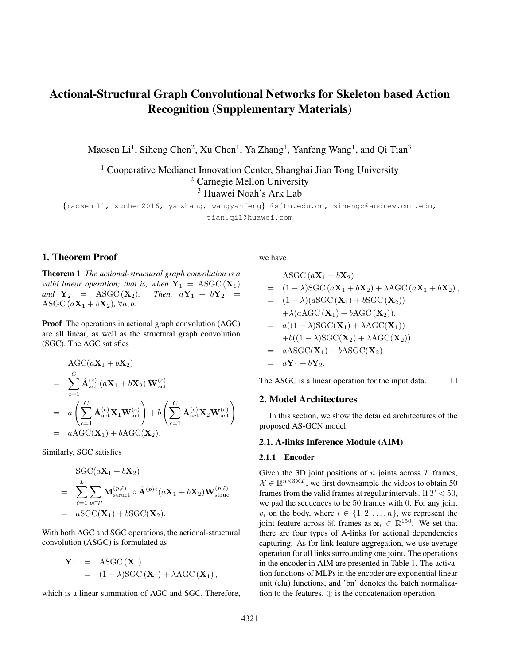# Actional-Structural Graph Convolutional Networks for Skeleton based Action Recognition (Supplementary Materials)

Maosen Li<sup>1</sup>, Siheng Chen<sup>2</sup>, Xu Chen<sup>1</sup>, Ya Zhang<sup>1</sup>, Yanfeng Wang<sup>1</sup>, and Qi Tian<sup>3</sup>

<sup>1</sup> Cooperative Medianet Innovation Center, Shanghai Jiao Tong University <sup>2</sup> Carnegie Mellon University <sup>3</sup> Huawei Noah's Ark Lab

{maosen li, xuchen2016, ya zhang, wangyanfeng} @sjtu.edu.cn, sihengc@andrew.cmu.edu, tian.qi1@huawei.com

## 1. Theorem Proof

Theorem 1 *The actional-structural graph convolution is a valid linear operation; that is, when*  $Y_1 = ASC(X_1)$ *and*  $Y_2$  = ASGC  $(X_2)$ *. Then,*  $aY_1 + bY_2$  = ASGC  $(a\mathbf{X}_1 + b\mathbf{X}_2)$ ,  $\forall a, b$ .

Proof The operations in actional graph convolution (AGC) are all linear, as well as the structural graph convolution (SGC). The AGC satisfies

$$
\begin{split}\n&\text{AGC}(a\mathbf{X}_1 + b\mathbf{X}_2) \\
&= \sum_{c=1}^{C} \hat{\mathbf{A}}_{\text{act}}^{(c)}(a\mathbf{X}_1 + b\mathbf{X}_2) \mathbf{W}_{\text{act}}^{(c)} \\
&= a \left( \sum_{c=1}^{C} \hat{\mathbf{A}}_{\text{act}}^{(c)} \mathbf{X}_1 \mathbf{W}_{\text{act}}^{(c)} \right) + b \left( \sum_{c=1}^{C} \hat{\mathbf{A}}_{\text{act}}^{(c)} \mathbf{X}_2 \mathbf{W}_{\text{act}}^{(c)} \right) \\
&= a \text{AGC}(\mathbf{X}_1) + b \text{AGC}(\mathbf{X}_2).\n\end{split}
$$

Similarly, SGC satisfies

$$
\begin{aligned}\n&\text{SGC}(a\mathbf{X}_1 + b\mathbf{X}_2) \\
&= \sum_{\ell=1}^{L} \sum_{p \in \mathcal{P}} \mathbf{M}_{\text{struct}}^{(p,\ell)} \circ \hat{\mathbf{A}}^{(p)\ell}(a\mathbf{X}_1 + b\mathbf{X}_2) \mathbf{W}_{\text{struct}}^{(p,\ell)} \\
&= a\text{SGC}(\mathbf{X}_1) + b\text{SGC}(\mathbf{X}_2).\n\end{aligned}
$$

With both AGC and SGC operations, the actional-structural convolution (ASGC) is formulated as

$$
\mathbf{Y}_1 = \text{ASGC}(\mathbf{X}_1)
$$
  
= (1 - \lambda)\text{SGC}(\mathbf{X}\_1) + \lambda \text{AGC}(\mathbf{X}\_1),

which is a linear summation of AGC and SGC. Therefore,

we have

$$
ASGC (a\mathbf{X}_1 + b\mathbf{X}_2)
$$
  
=  $(1 - \lambda)SGC (a\mathbf{X}_1 + b\mathbf{X}_2) + \lambda AGC (a\mathbf{X}_1 + b\mathbf{X}_2),$   
=  $(1 - \lambda)(aSGC (\mathbf{X}_1) + bSGC (\mathbf{X}_2))$   
 $+ \lambda(aAGC (\mathbf{X}_1) + bAGC (\mathbf{X}_2)),$   
=  $a((1 - \lambda)SGC (\mathbf{X}_1) + \lambda AGC (\mathbf{X}_1))$   
 $+ b((1 - \lambda)SGC (\mathbf{X}_2) + \lambda AGC (\mathbf{X}_2))$   
=  $aASGC(\mathbf{X}_1) + bASGC(\mathbf{X}_2)$   
=  $a\mathbf{Y}_1 + b\mathbf{Y}_2.$ 

The ASGC is a linear operation for the input data.  $\Box$ 

### 2. Model Architectures

In this section, we show the detailed architectures of the proposed AS-GCN model.

# 2.1. A-links Inference Module (AIM)

#### 2.1.1 Encoder

Given the 3D joint positions of  $n$  joints across  $T$  frames,  $\mathcal{X} \in \mathbb{R}^{n \times 3 \times T}$ , we first downsample the videos to obtain 50 frames from the valid frames at regular intervals. If  $T < 50$ , we pad the sequences to be 50 frames with 0. For any joint  $v_i$  on the body, where  $i \in \{1, 2, \ldots, n\}$ , we represent the joint feature across 50 frames as  $x_i \in \mathbb{R}^{150}$ . We set that there are four types of A-links for actional dependencies capturing. As for link feature aggregation, we use average operation for all links surrounding one joint. The operations in the encoder in AIM are presented in Table [1.](#page-1-0) The activation functions of MLPs in the encoder are exponential linear unit (elu) functions, and 'bn' denotes the batch normalization to the features. ⊕ is the concatenation operation.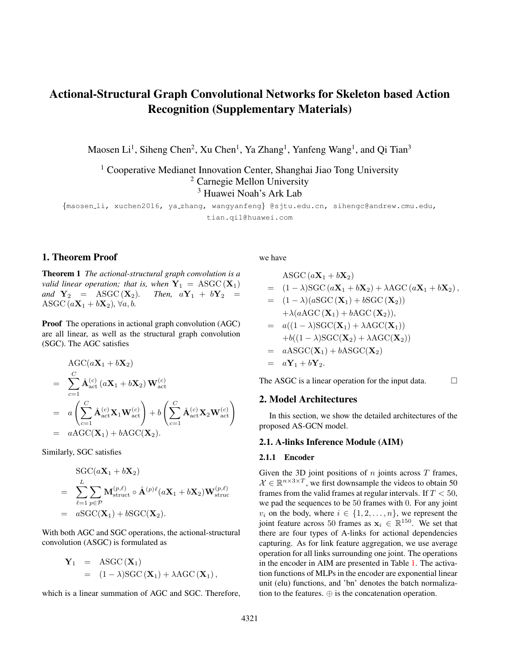<span id="page-1-4"></span><span id="page-1-0"></span>

| Input                    | Operation                                                                                                                                                                   | Output            |
|--------------------------|-----------------------------------------------------------------------------------------------------------------------------------------------------------------------------|-------------------|
| (0)<br>$\mathbf{x}_i$    | $150 \xrightarrow{\text{elu}} 128 \xrightarrow{\text{elu}} 128 \text{ (bn)}$                                                                                                |                   |
|                          |                                                                                                                                                                             |                   |
| $\mathbf{Q}_{i,:}^{(2)}$ | $\frac{\left(\frac{1}{n}\sum_{j=1}^{n}\mathbf{Q}_{i,j}^{(2)}\right)\oplus\mathbf{p}_{i}^{(1)}}{384 \xrightarrow{\text{elu}} 128 \xrightarrow{\text{elu}} 128 \text{ (bn)}}$ | ${\bf p}_i^{(2)}$ |
|                          |                                                                                                                                                                             |                   |
| $\mathbf{p}_i$           |                                                                                                                                                                             |                   |
|                          | $256 \xrightarrow{\text{elu}} 128 \xrightarrow{\text{elu}} 128 \text{ (bn)} \rightarrow 4$                                                                                  |                   |

Table 1: The architecture of the encoder in AIM

#### 2.1.2 Decoder

We present the detailed configuration of the decoder of AIM. Given the position of joint  $v_i$  at time  $t$ ,  $\mathbf{x}_i^t$ , the decoder aims to predict the future joint position  $x_i^{t+1}$  conditioned on the sourrounding A-links,  $A_{i,j,:}$ . The architectures are pre-sented in Table [2.](#page-1-1)  $GRU(\cdot)$  denotes a GRU unit, whose hid-

<span id="page-1-1"></span>

| Input                                    | Operation                                                                         | Output                  |
|------------------------------------------|-----------------------------------------------------------------------------------|-------------------------|
|                                          | $\overline{3} \xrightarrow{\text{relu}} 64(c)$                                    |                         |
| $\mathbf{x}_i^t$ , $\mathbf{x}_j^t$      |                                                                                   | $\mathbf{Q}_{i. i}^{t}$ |
|                                          | $\sum_{c=1}^{C} \mathcal{A}_{i,j,c} \cdot (128 \xrightarrow{\text{relu}} 64 (c))$ |                         |
| $\mathbf{Q}_{i,j}^{\iota}$               | $(\frac{1}{n}\sum_{j=1}^n\mathbf{Q}_{i,j}^t)\oplus\mathbf{p}_i^t$                 |                         |
| $\mathbf{p}_i^t, \mathbf{S}_i^{\bar{t}}$ | $GRU(S_i^t, p_i^t)$ , feature dimension: 64                                       | $\mathbf{S}^t$          |
| $\overline{\mathbf{S}^{t}_i}$            | $64 \rightarrow 3$                                                                |                         |

Table 2: The architecture of the decoder in AIM

den feature dimension is 64. It predicts the future position of all joints conditioned on A-links and previous frames.

#### 2.2. Backbone

The backbone network of the AS-GCN extracts the rich spatial and temporal feature of actions with the proposed ASGC and temporal CNN (T-CN). For example, we build AS-GCN on NTU-RGB+D dataset and Cross-Subject benchmark [\[1\]](#page-2-0). There are 25 joints, 3D spatial positions and 300 padded frames for each action. The architecture of the backbone is presented in Table [3.](#page-1-2) There are nine ASGC blocks consisting of the backbone of AS-GCN model. The input/output feature maps are 3D tensors, where the three axes represent the joint number, feature dimension and frame number, respectively. The shapes of operations have the consistent dimensions with input and output feature maps, where the first axis is the filter number or output feature dimension, and the other three correspond to the input shape.  $A$  and  $B$  are the types of A-links and Slinks. For action recognition, we obtain the last feature map whose shape is [25,256,75] and apply a global average pooling operation on the time and joint axis, i.e. the 1st and 3rd

<span id="page-1-2"></span>

| In-Shape       | <b>Operation Shape</b>                                                         | Out-Shape      |
|----------------|--------------------------------------------------------------------------------|----------------|
| [25,3,300]     | ASGC:[64,1,64,1] $\times$ ( $n_A+n_S$ )<br>T-CN:[64,1,64,7], stride=1          | [25, 64, 300]  |
| [25, 64, 300]  | ASGC:[64,1,64,1] $\times$ ( $n_A + n_S$ )<br>$T-CN:[64,1,64,7]$ , stride=1     | [25, 64, 300]  |
| [25, 64, 300]  | ASGC:[64,1,64,1] $\times$ ( $n_A+n_S$ )<br>$T-CN:[64,1,64,7]$ , stride=1       | [25, 64, 300]  |
| [25, 64, 300]  | ASGC:[64,1,64,1] $\times$ ( $n_A+n_S$ )<br>$T-CN: [128, 1, 64, 7]$ , stride=2  | [25, 128, 150] |
| [25, 128, 150] | ASGC:[128,1,128,1] $\times$ ( $n_A + n_S$ )<br>T-CN:[128,1,128,7], stride=1    | [25, 128, 150] |
| [25, 128, 150] | ASGC:[128,1,128,1] $\times$ ( $n_A + n_S$ )<br>T-CN:[128,1,128,7], stride=1    | [25, 128, 150] |
| [25, 128, 150] | ASGC:[128,1,128,1] $\times$ ( $n_A + n_S$ )<br>$T-CN:[256,1,128,7]$ , stride=2 | [25, 256, 75]  |
| [25, 256, 75]  | ASGC:[256,1,256,1] $\times$ ( $n_A + n_S$ )<br>$T-CN:[256,1,256,7]$ , stride=1 | [25, 256, 75]  |
| [25, 256, 75]  | ASGC:[256,1,256,1] $\times$ ( $n_A + n_S$ )<br>T-CN:[256,1,256,7], stride=1    | [25, 256, 75]  |

Table 3: The architecture of the backbone network of AS-**GCN** 

axis. Thus we obtain a semantic feature vector of the action, whose dimension is 256.

## 2.3. Future Action Prediction Head

The architecture of the future action prediction head of AS-GCN model are presented in Table [4.](#page-1-3) We input the out-

<span id="page-1-3"></span>

| In-Shape      | <b>Operation Shape</b>                      | Out-Shape     |
|---------------|---------------------------------------------|---------------|
| [25, 256, 75] | ASGC:[128,1,256,1] $\times$ ( $n_A+n_S$ )   | [25, 128, 39] |
|               | T-CN:[128,1,128,7], stride=2                |               |
| [25, 128, 39] | ASGC:[128,1,128,1] $\times$ ( $n_A+n_S$ )   | [25, 128, 19] |
|               | T-CN:[128,1,128,7], stride=2                |               |
| [25, 128, 19] | ASGC:[128,1,128,1] $\times$ ( $n_A+n_S$ )   | [25, 128, 10] |
|               | T-CN:[128,1,128,7], stride=2                |               |
| [25, 128, 10] | ASGC:[128,1,128,1] $\times$ ( $n_A + n_S$ ) |               |
|               | T-CN:[128,1,128,3], stride=2                | [25, 128, 5]  |
| [25, 128, 5]  | ASGC:[128,1,128,1] $\times$ ( $n_A+n_S$ )   | [25, 128, 1]  |
|               | $T-CN:[128,1,128,5]$ , stride=1             |               |
| [25, 131, 1]  | ASGC:[64,1,131,1] $\times$ ( $n_A + n_S$ )  |               |
|               | $T-CN:[64,1,64,1]$ , stride=1               | [25, 64, 1]   |
| [25, 67, 1]   | ASGC:[32,1,67,1] $\times$ ( $n_A+n_S$ )     | [25, 32, 1]   |
|               | $T-CN:[32,1,32,1]$ , stride=1               |               |
| [25,35,1]     | ASGC:[30,1,35,1] $\times$ ( $n_A+n_S$ )     | [25,30,1]     |
|               | T-CN:[30,1,30,1], stride=1                  |               |
| [25, 33, 1]   | FC: [30, 1, 33, 1]                          | [25,30,1]     |

Table 4: The architecture of the prediction head of AS-GCN model

put feature map from the backbone network in to the prediction head. The input tensor are calculated by nine ASGC blocks. The first five blocks reduce the frame number to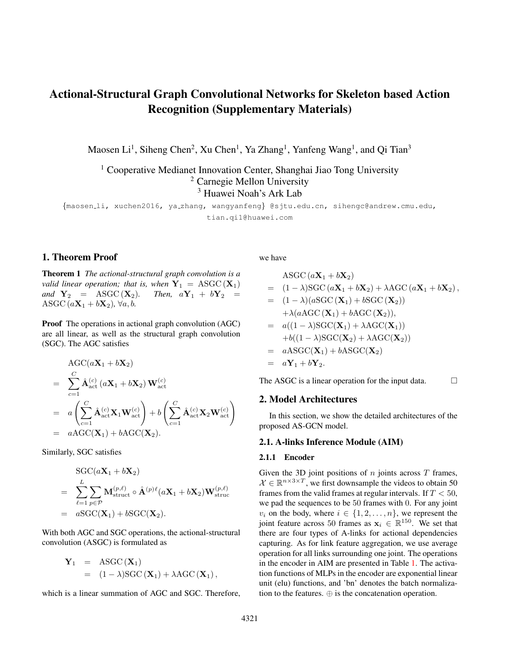aggregate higher-level action features. The last four blocks work on action regeneration. For the last four blocks, we concatenate the last input frame to each feature map. Finally, with a residual connection, we obtain a tensor with shape [30,1,25] from a fully connected layer, which contains the joint position of the predicted 10 frames.

# 3. More Future Action Prediction Results

More future action prediction results of different actions are illustrated in Figure [1,](#page-3-0) which contains the action of 'wipe face', 'throw' and 'nausea or vomiting condition'. As we see, the actions are predicted with very low error.

# References

<span id="page-2-0"></span>[1] A. Shahroudy, J. Liu, T.-T. Ng, and G. Wang. Ntu rgb+d: A large scale dataset for 3d human activity analysis. In *The IEEE Conference on Computer Vision and Pattern Recognition (CVPR)*, pages 1010–1019, June 2016. [4322](#page-1-4)